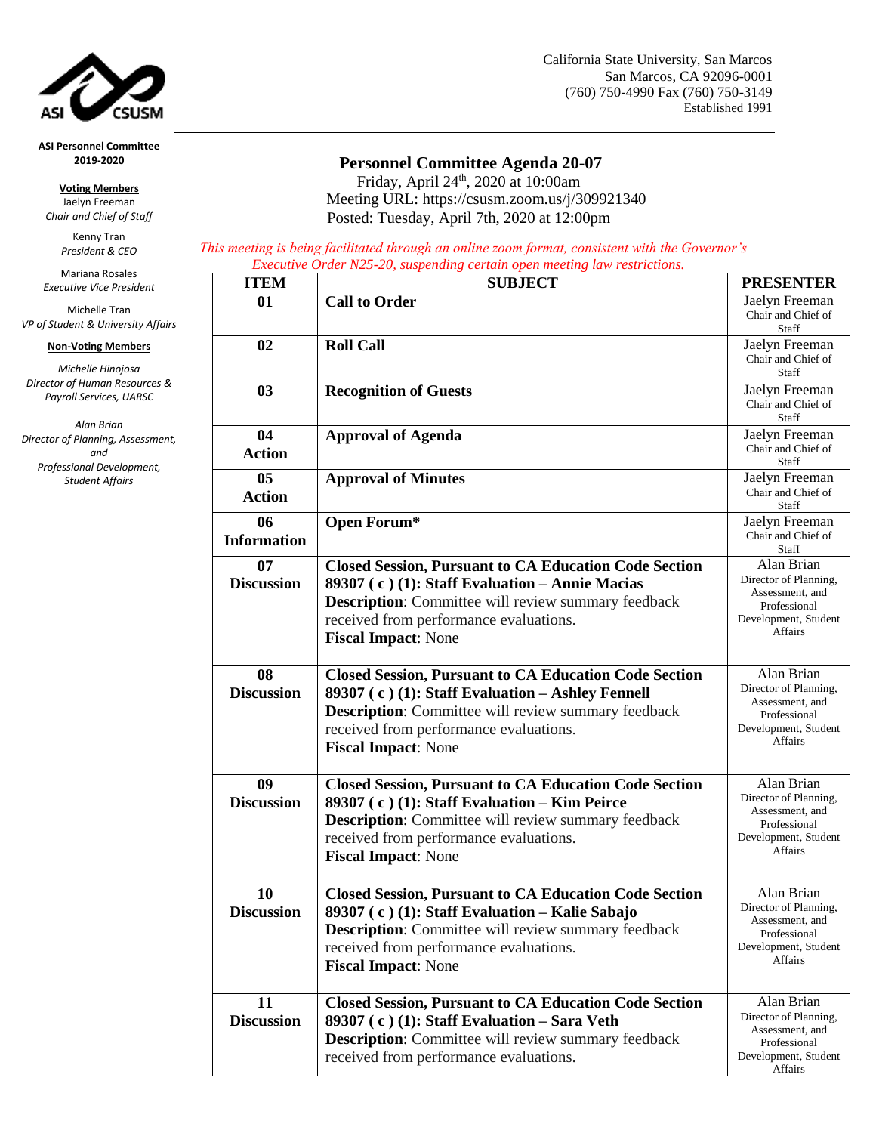

**ASI Personnel Committee 2019-2020**

**Voting Members** Jaelyn Freeman *Chair and Chief of Staff*

> Kenny Tran *President & CEO*

Mariana Rosales *Executive Vice President* 

Michelle Tran *VP of Student & University Affairs*

## **Non-Voting Members**

*Michelle Hinojosa Director of Human Resources & Payroll Services, UARSC*

*Alan Brian Director of Planning, Assessment, and Professional Development, Student Affairs*

California State University, San Marcos

 San Marcos, CA 92096-0001 (760) 750-4990 Fax (760) 750-3149

Established 1991

**Personnel Committee Agenda 20-07** Friday, April 24<sup>th</sup>, 2020 at 10:00am Meeting URL: https://csusm.zoom.us/j/309921340 Posted: Tuesday, April 7th, 2020 at 12:00pm

 *This meeting is being facilitated through an online zoom format, consistent with the Governor's Executive Order N25-20, suspending certain open meeting law restrictions.*

| <b>ITEM</b>        | <b>SUBJECT</b>                                               | <b>PRESENTER</b>                         |
|--------------------|--------------------------------------------------------------|------------------------------------------|
| 01                 | <b>Call to Order</b>                                         | Jaelyn Freeman                           |
|                    |                                                              | Chair and Chief of                       |
| 02                 | <b>Roll Call</b>                                             | Staff<br>Jaelyn Freeman                  |
|                    |                                                              | Chair and Chief of                       |
|                    |                                                              | Staff                                    |
| 03                 | <b>Recognition of Guests</b>                                 | Jaelyn Freeman                           |
|                    |                                                              | Chair and Chief of                       |
| 04                 |                                                              | Staff<br>Jaelyn Freeman                  |
|                    | <b>Approval of Agenda</b>                                    | Chair and Chief of                       |
| <b>Action</b>      |                                                              | Staff                                    |
| 05                 | <b>Approval of Minutes</b>                                   | Jaelyn Freeman                           |
| <b>Action</b>      |                                                              | Chair and Chief of<br>Staff              |
| 06                 | <b>Open Forum*</b>                                           | Jaelyn Freeman                           |
| <b>Information</b> |                                                              | Chair and Chief of                       |
|                    |                                                              | Staff                                    |
| 07                 | <b>Closed Session, Pursuant to CA Education Code Section</b> | Alan Brian                               |
| <b>Discussion</b>  | 89307 (c) (1): Staff Evaluation - Annie Macias               | Director of Planning,<br>Assessment, and |
|                    | <b>Description:</b> Committee will review summary feedback   | Professional                             |
|                    | received from performance evaluations.                       | Development, Student                     |
|                    | <b>Fiscal Impact: None</b>                                   | <b>Affairs</b>                           |
|                    |                                                              |                                          |
| 08                 | <b>Closed Session, Pursuant to CA Education Code Section</b> | Alan Brian                               |
| <b>Discussion</b>  | 89307 (c) (1): Staff Evaluation - Ashley Fennell             | Director of Planning,                    |
|                    | <b>Description:</b> Committee will review summary feedback   | Assessment, and<br>Professional          |
|                    | received from performance evaluations.                       | Development, Student                     |
|                    | <b>Fiscal Impact: None</b>                                   | <b>Affairs</b>                           |
|                    |                                                              |                                          |
| 09                 | <b>Closed Session, Pursuant to CA Education Code Section</b> | Alan Brian                               |
| <b>Discussion</b>  | 89307 $(c)$ (1): Staff Evaluation – Kim Peirce               | Director of Planning,                    |
|                    | <b>Description:</b> Committee will review summary feedback   | Assessment, and<br>Professional          |
|                    | received from performance evaluations.                       | Development, Student                     |
|                    | <b>Fiscal Impact: None</b>                                   | <b>Affairs</b>                           |
|                    |                                                              |                                          |
| 10                 | <b>Closed Session, Pursuant to CA Education Code Section</b> | Alan Brian                               |
| <b>Discussion</b>  | 89307 (c) (1): Staff Evaluation - Kalie Sabajo               | Director of Planning,                    |
|                    | <b>Description:</b> Committee will review summary feedback   | Assessment, and<br>Professional          |
|                    | received from performance evaluations.                       | Development, Student                     |
|                    | <b>Fiscal Impact: None</b>                                   | Affairs                                  |
|                    |                                                              |                                          |
| 11                 | <b>Closed Session, Pursuant to CA Education Code Section</b> | Alan Brian                               |
| <b>Discussion</b>  | 89307 (c) (1): Staff Evaluation – Sara Veth                  | Director of Planning,                    |
|                    | <b>Description:</b> Committee will review summary feedback   | Assessment, and                          |
|                    | received from performance evaluations.                       | Professional<br>Development, Student     |
|                    |                                                              | Affairs                                  |